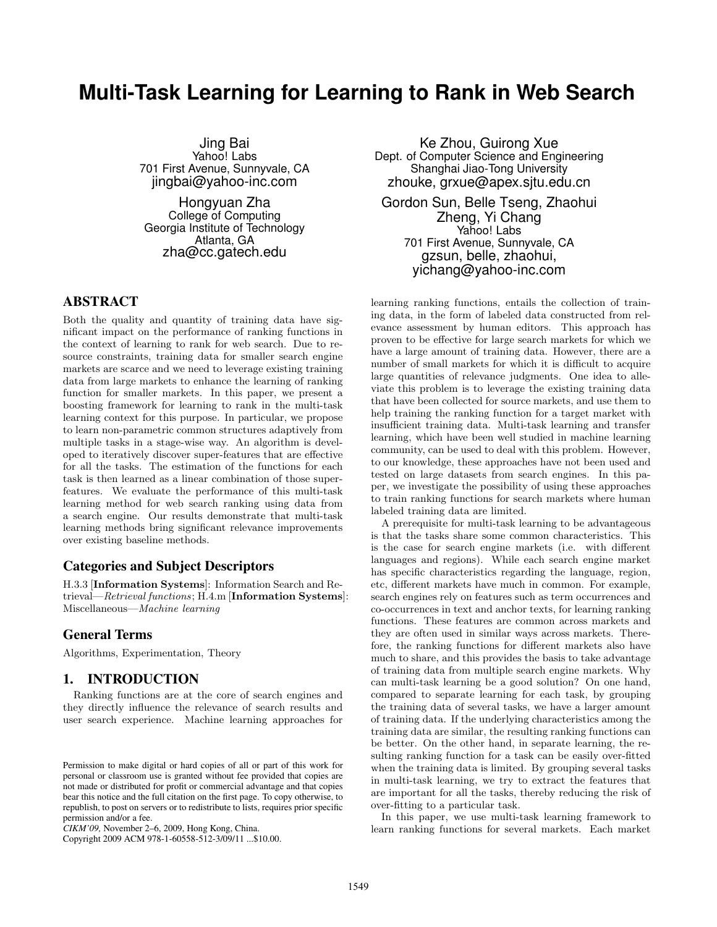# **Multi-Task Learning for Learning to Rank in Web Search**

Jing Bai Yahoo! Labs 701 First Avenue, Sunnyvale, CA jingbai@yahoo-inc.com

Hongyuan Zha College of Computing Georgia Institute of Technology Atlanta, GA zha@cc.gatech.edu

# ABSTRACT

Both the quality and quantity of training data have significant impact on the performance of ranking functions in the context of learning to rank for web search. Due to resource constraints, training data for smaller search engine markets are scarce and we need to leverage existing training data from large markets to enhance the learning of ranking function for smaller markets. In this paper, we present a boosting framework for learning to rank in the multi-task learning context for this purpose. In particular, we propose to learn non-parametric common structures adaptively from multiple tasks in a stage-wise way. An algorithm is developed to iteratively discover super-features that are effective for all the tasks. The estimation of the functions for each task is then learned as a linear combination of those superfeatures. We evaluate the performance of this multi-task learning method for web search ranking using data from a search engine. Our results demonstrate that multi-task learning methods bring significant relevance improvements over existing baseline methods.

# Categories and Subject Descriptors

H.3.3 [Information Systems]: Information Search and Retrieval—Retrieval functions; H.4.m [Information Systems]: Miscellaneous—Machine learning

# General Terms

Algorithms, Experimentation, Theory

### 1. INTRODUCTION

Ranking functions are at the core of search engines and they directly influence the relevance of search results and user search experience. Machine learning approaches for

Copyright 2009 ACM 978-1-60558-512-3/09/11 ...\$10.00.

Ke Zhou, Guirong Xue Dept. of Computer Science and Engineering Shanghai Jiao-Tong University zhouke, grxue@apex.sjtu.edu.cn

Gordon Sun, Belle Tseng, Zhaohui Zheng, Yi Chang Yahoo! Labs 701 First Avenue, Sunnyvale, CA gzsun, belle, zhaohui, yichang@yahoo-inc.com

learning ranking functions, entails the collection of training data, in the form of labeled data constructed from relevance assessment by human editors. This approach has proven to be effective for large search markets for which we have a large amount of training data. However, there are a number of small markets for which it is difficult to acquire large quantities of relevance judgments. One idea to alleviate this problem is to leverage the existing training data that have been collected for source markets, and use them to help training the ranking function for a target market with insufficient training data. Multi-task learning and transfer learning, which have been well studied in machine learning community, can be used to deal with this problem. However, to our knowledge, these approaches have not been used and tested on large datasets from search engines. In this paper, we investigate the possibility of using these approaches to train ranking functions for search markets where human labeled training data are limited.

A prerequisite for multi-task learning to be advantageous is that the tasks share some common characteristics. This is the case for search engine markets (i.e. with different languages and regions). While each search engine market has specific characteristics regarding the language, region, etc, different markets have much in common. For example, search engines rely on features such as term occurrences and co-occurrences in text and anchor texts, for learning ranking functions. These features are common across markets and they are often used in similar ways across markets. Therefore, the ranking functions for different markets also have much to share, and this provides the basis to take advantage of training data from multiple search engine markets. Why can multi-task learning be a good solution? On one hand, compared to separate learning for each task, by grouping the training data of several tasks, we have a larger amount of training data. If the underlying characteristics among the training data are similar, the resulting ranking functions can be better. On the other hand, in separate learning, the resulting ranking function for a task can be easily over-fitted when the training data is limited. By grouping several tasks in multi-task learning, we try to extract the features that are important for all the tasks, thereby reducing the risk of over-fitting to a particular task.

In this paper, we use multi-task learning framework to learn ranking functions for several markets. Each market

Permission to make digital or hard copies of all or part of this work for personal or classroom use is granted without fee provided that copies are not made or distributed for profit or commercial advantage and that copies bear this notice and the full citation on the first page. To copy otherwise, to republish, to post on servers or to redistribute to lists, requires prior specific permission and/or a fee.

*CIKM'09,* November 2–6, 2009, Hong Kong, China.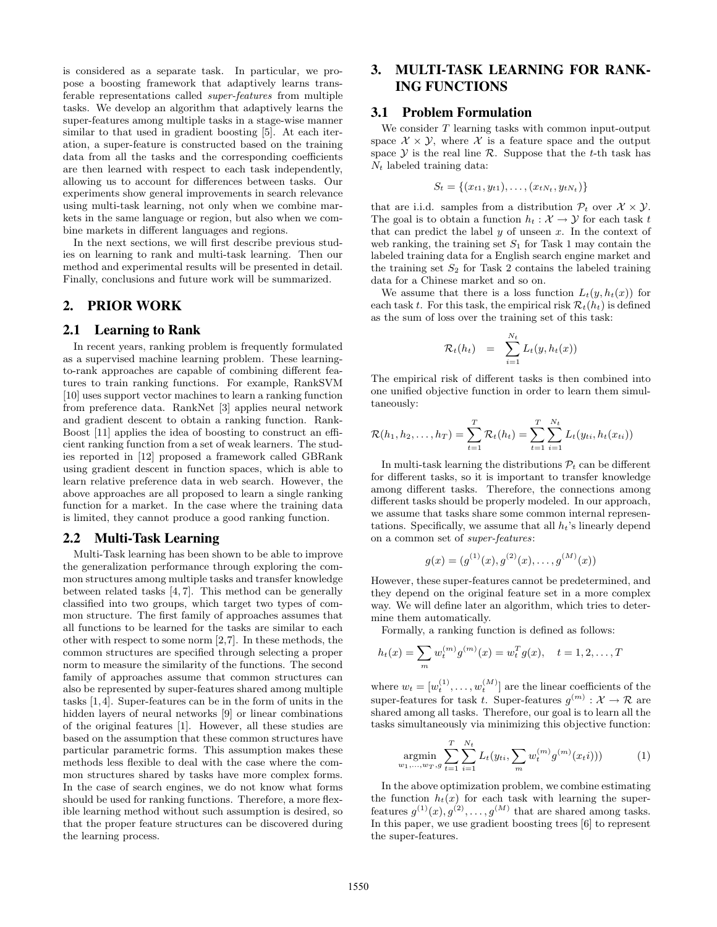is considered as a separate task. In particular, we propose a boosting framework that adaptively learns transferable representations called super-features from multiple tasks. We develop an algorithm that adaptively learns the super-features among multiple tasks in a stage-wise manner similar to that used in gradient boosting [5]. At each iteration, a super-feature is constructed based on the training data from all the tasks and the corresponding coefficients are then learned with respect to each task independently, allowing us to account for differences between tasks. Our experiments show general improvements in search relevance using multi-task learning, not only when we combine markets in the same language or region, but also when we combine markets in different languages and regions.

In the next sections, we will first describe previous studies on learning to rank and multi-task learning. Then our method and experimental results will be presented in detail. Finally, conclusions and future work will be summarized.

### 2. PRIOR WORK

#### 2.1 Learning to Rank

In recent years, ranking problem is frequently formulated as a supervised machine learning problem. These learningto-rank approaches are capable of combining different features to train ranking functions. For example, RankSVM [10] uses support vector machines to learn a ranking function from preference data. RankNet [3] applies neural network and gradient descent to obtain a ranking function. Rank-Boost [11] applies the idea of boosting to construct an efficient ranking function from a set of weak learners. The studies reported in [12] proposed a framework called GBRank using gradient descent in function spaces, which is able to learn relative preference data in web search. However, the above approaches are all proposed to learn a single ranking function for a market. In the case where the training data is limited, they cannot produce a good ranking function.

### 2.2 Multi-Task Learning

Multi-Task learning has been shown to be able to improve the generalization performance through exploring the common structures among multiple tasks and transfer knowledge between related tasks [4, 7]. This method can be generally classified into two groups, which target two types of common structure. The first family of approaches assumes that all functions to be learned for the tasks are similar to each other with respect to some norm [2,7]. In these methods, the common structures are specified through selecting a proper norm to measure the similarity of the functions. The second family of approaches assume that common structures can also be represented by super-features shared among multiple tasks [1,4]. Super-features can be in the form of units in the hidden layers of neural networks [9] or linear combinations of the original features [1]. However, all these studies are based on the assumption that these common structures have particular parametric forms. This assumption makes these methods less flexible to deal with the case where the common structures shared by tasks have more complex forms. In the case of search engines, we do not know what forms should be used for ranking functions. Therefore, a more flexible learning method without such assumption is desired, so that the proper feature structures can be discovered during the learning process.

# 3. MULTI-TASK LEARNING FOR RANK-ING FUNCTIONS

# 3.1 Problem Formulation

We consider  $T$  learning tasks with common input-output space  $\mathcal{X} \times \mathcal{Y}$ , where  $\mathcal{X}$  is a feature space and the output space  $\mathcal Y$  is the real line  $\mathcal R$ . Suppose that the t-th task has  $N_t$  labeled training data:

$$
S_t = \{(x_{t1}, y_{t1}), \ldots, (x_{tN_t}, y_{tN_t})\}
$$

that are i.i.d. samples from a distribution  $\mathcal{P}_t$  over  $\mathcal{X} \times \mathcal{Y}$ . The goal is to obtain a function  $h_t : \mathcal{X} \to \mathcal{Y}$  for each task t that can predict the label  $y$  of unseen  $x$ . In the context of web ranking, the training set  $S_1$  for Task 1 may contain the labeled training data for a English search engine market and the training set  $S_2$  for Task 2 contains the labeled training data for a Chinese market and so on.

We assume that there is a loss function  $L_t(y, h_t(x))$  for each task t. For this task, the empirical risk  $\mathcal{R}_t(h_t)$  is defined as the sum of loss over the training set of this task:

$$
\mathcal{R}_t(h_t) = \sum_{i=1}^{N_t} L_t(y, h_t(x))
$$

The empirical risk of different tasks is then combined into one unified objective function in order to learn them simultaneously:

$$
\mathcal{R}(h_1, h_2, \dots, h_T) = \sum_{t=1}^T \mathcal{R}_t(h_t) = \sum_{t=1}^T \sum_{i=1}^{N_t} L_t(y_{ti}, h_t(x_{ti}))
$$

In multi-task learning the distributions  $P_t$  can be different for different tasks, so it is important to transfer knowledge among different tasks. Therefore, the connections among different tasks should be properly modeled. In our approach, we assume that tasks share some common internal representations. Specifically, we assume that all  $h_t$ 's linearly depend on a common set of super-features:

$$
g(x) = (g^{(1)}(x), g^{(2)}(x), \dots, g^{(M)}(x))
$$

However, these super-features cannot be predetermined, and they depend on the original feature set in a more complex way. We will define later an algorithm, which tries to determine them automatically.

Formally, a ranking function is defined as follows:

$$
h_t(x) = \sum_m w_t^{(m)} g^{(m)}(x) = w_t^T g(x), \quad t = 1, 2, \dots, T
$$

where  $w_t = [w_t^{(1)}, \dots, w_t^{(M)}]$  are the linear coefficients of the super-features for task t. Super-features  $g^{(m)}: \mathcal{X} \to \mathcal{R}$  are shared among all tasks. Therefore, our goal is to learn all the tasks simultaneously via minimizing this objective function:

$$
\underset{w_1,\ldots,w_T,g}{\text{argmin}} \sum_{t=1}^{T} \sum_{i=1}^{N_t} L_t(y_{ti}, \sum_m w_t^{(m)} g^{(m)}(x_t i))) \tag{1}
$$

In the above optimization problem, we combine estimating the function  $h_t(x)$  for each task with learning the superfeatures  $g^{(1)}(x), g^{(2)}, \ldots, g^{(M)}$  that are shared among tasks. In this paper, we use gradient boosting trees [6] to represent the super-features.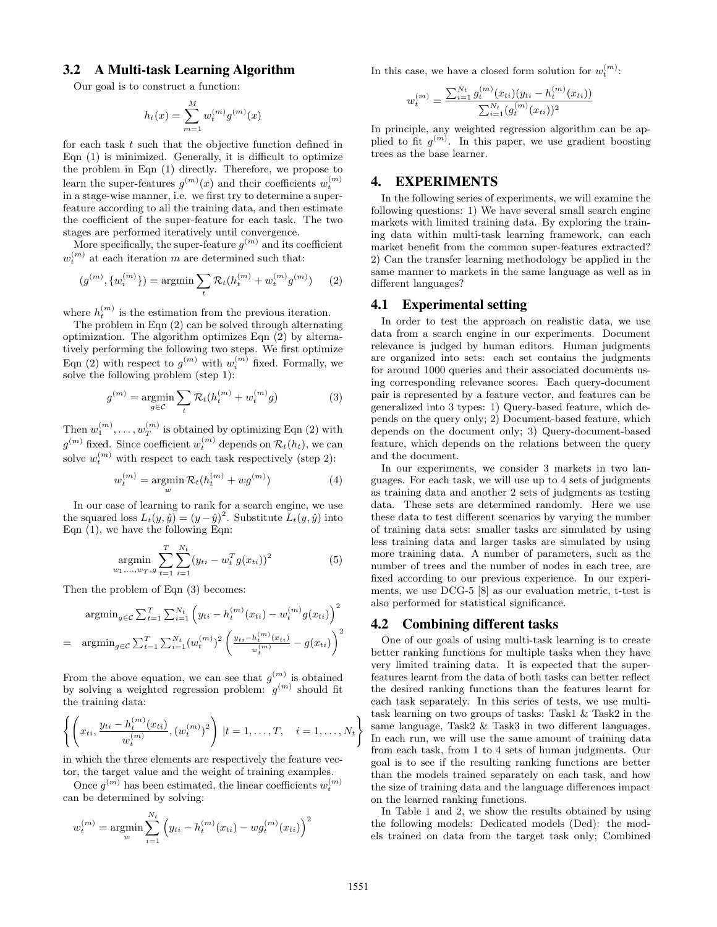# 3.2 A Multi-task Learning Algorithm

Our goal is to construct a function:

$$
h_t(x) = \sum_{m=1}^{M} w_t^{(m)} g^{(m)}(x)
$$

for each task t such that the objective function defined in Eqn (1) is minimized. Generally, it is difficult to optimize the problem in Eqn (1) directly. Therefore, we propose to learn the super-features  $g^{(m)}(x)$  and their coefficients  $w_t^{(m)}$ in a stage-wise manner, i.e. we first try to determine a superfeature according to all the training data, and then estimate the coefficient of the super-feature for each task. The two stages are performed iteratively until convergence.

More specifically, the super-feature  $g^{(m)}$  and its coefficient  $w_t^{(m)}$  at each iteration m are determined such that:

$$
(g^{(m)}, \{w_i^{(m)}\}) = \operatorname{argmin} \sum_{t} \mathcal{R}_t(h_t^{(m)} + w_t^{(m)} g^{(m)}) \tag{2}
$$

where  $h_t^{(m)}$  is the estimation from the previous iteration.

The problem in Eqn (2) can be solved through alternating optimization. The algorithm optimizes Eqn (2) by alternatively performing the following two steps. We first optimize Eqn (2) with respect to  $g^{(m)}$  with  $w_i^{(m)}$  fixed. Formally, we solve the following problem (step 1):

$$
g^{(m)} = \underset{g \in \mathcal{C}}{\operatorname{argmin}} \sum_{t} \mathcal{R}_t(h_t^{(m)} + w_t^{(m)}g) \tag{3}
$$

Then  $w_1^{(m)}, \ldots, w_T^{(m)}$  is obtained by optimizing Eqn (2) with  $g^{(m)}$  fixed. Since coefficient  $w_t^{(m)}$  depends on  $\mathcal{R}_t(h_t)$ , we can solve  $w_t^{(m)}$  with respect to each task respectively (step 2):

$$
w_t^{(m)} = \operatorname*{argmin}_w \mathcal{R}_t(h_t^{(m)} + wg^{(m)})
$$
(4)

In our case of learning to rank for a search engine, we use the squared loss  $L_t(y, \hat{y}) = (y - \hat{y})^2$ . Substitute  $L_t(y, \hat{y})$  into Eqn (1), we have the following Eqn:

$$
\underset{w_1,\ldots,w_T,g}{\text{argmin}} \sum_{t=1}^{T} \sum_{i=1}^{N_t} (y_{ti} - w_t^T g(x_{ti}))^2
$$
 (5)

Then the problem of Eqn (3) becomes:

$$
\operatorname{argmin}_{g \in \mathcal{C}} \sum_{t=1}^{T} \sum_{i=1}^{N_t} \left( y_{ti} - h_t^{(m)}(x_{ti}) - w_t^{(m)} g(x_{ti}) \right)^2
$$
\n
$$
= \operatorname{argmin}_{g \in \mathcal{C}} \sum_{t=1}^{T} \sum_{i=1}^{N_t} (w_t^{(m)})^2 \left( \frac{y_{ti} - h_t^{(m)}(x_{ti})}{w_t^{(m)}} - g(x_{ti}) \right)^2
$$

From the above equation, we can see that  $g^{(m)}$  is obtained by solving a weighted regression problem:  $g^{(m)}$  should fit the training data:

$$
\left\{ \left( x_{ti}, \frac{y_{ti} - h_t^{(m)}(x_{ti})}{w_t^{(m)}}, (w_t^{(m)})^2 \right) | t = 1, \dots, T, \quad i = 1, \dots, N_t \right\}
$$

in which the three elements are respectively the feature vector, the target value and the weight of training examples.

Once  $g^{(m)}$  has been estimated, the linear coefficients  $w_t^{(m)}$ can be determined by solving:

$$
w_t^{(m)} = \underset{w}{\text{argmin}} \sum_{i=1}^{N_t} \left( y_{ti} - h_t^{(m)}(x_{ti}) - w g_t^{(m)}(x_{ti}) \right)^2
$$

In this case, we have a closed form solution for  $w_t^{(m)}$ :

$$
w_t^{(m)} = \frac{\sum_{i=1}^{N_t} g_t^{(m)}(x_{ti})(y_{ti} - h_t^{(m)}(x_{ti}))}{\sum_{i=1}^{N_t} (g_t^{(m)}(x_{ti}))^2}
$$

In principle, any weighted regression algorithm can be applied to fit  $g^{(m)}$ . In this paper, we use gradient boosting trees as the base learner.

# 4. EXPERIMENTS

In the following series of experiments, we will examine the following questions: 1) We have several small search engine markets with limited training data. By exploring the training data within multi-task learning framework, can each market benefit from the common super-features extracted? 2) Can the transfer learning methodology be applied in the same manner to markets in the same language as well as in different languages?

### 4.1 Experimental setting

In order to test the approach on realistic data, we use data from a search engine in our experiments. Document relevance is judged by human editors. Human judgments are organized into sets: each set contains the judgments for around 1000 queries and their associated documents using corresponding relevance scores. Each query-document pair is represented by a feature vector, and features can be generalized into 3 types: 1) Query-based feature, which depends on the query only; 2) Document-based feature, which depends on the document only; 3) Query-document-based feature, which depends on the relations between the query and the document.

In our experiments, we consider 3 markets in two languages. For each task, we will use up to 4 sets of judgments as training data and another 2 sets of judgments as testing data. These sets are determined randomly. Here we use these data to test different scenarios by varying the number of training data sets: smaller tasks are simulated by using less training data and larger tasks are simulated by using more training data. A number of parameters, such as the number of trees and the number of nodes in each tree, are fixed according to our previous experience. In our experiments, we use DCG-5 [8] as our evaluation metric, t-test is also performed for statistical significance.

# 4.2 Combining different tasks

One of our goals of using multi-task learning is to create better ranking functions for multiple tasks when they have very limited training data. It is expected that the superfeatures learnt from the data of both tasks can better reflect the desired ranking functions than the features learnt for each task separately. In this series of tests, we use multitask learning on two groups of tasks: Task1 & Task2 in the same language, Task2 & Task3 in two different languages. In each run, we will use the same amount of training data from each task, from 1 to 4 sets of human judgments. Our goal is to see if the resulting ranking functions are better than the models trained separately on each task, and how the size of training data and the language differences impact on the learned ranking functions.

In Table 1 and 2, we show the results obtained by using the following models: Dedicated models (Ded): the models trained on data from the target task only; Combined